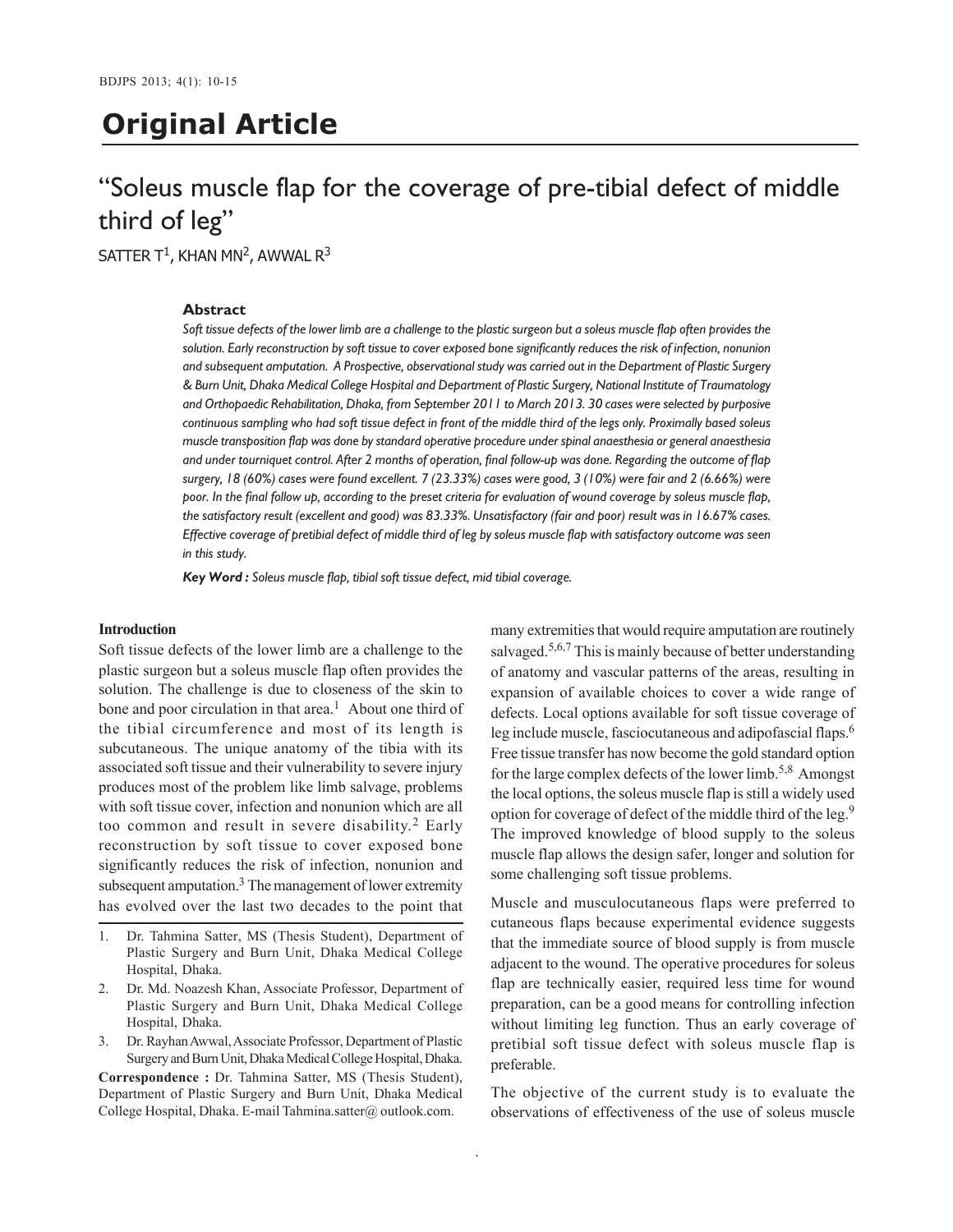# **Original Article**

# "Soleus muscle flap for the coverage of pre-tibial defect of middle third of leg"

SATTER T<sup>1</sup>, KHAN MN<sup>2</sup>, AWWAL R<sup>3</sup>

## **Abstract**

*Soft tissue defects of the lower limb are a challenge to the plastic surgeon but a soleus muscle flap often provides the solution. Early reconstruction by soft tissue to cover exposed bone significantly reduces the risk of infection, nonunion and subsequent amputation. A Prospective, observational study was carried out in the Department of Plastic Surgery & Burn Unit, Dhaka Medical College Hospital and Department of Plastic Surgery, National Institute of Traumatology and Orthopaedic Rehabilitation, Dhaka, from September 2011 to March 2013. 30 cases were selected by purposive continuous sampling who had soft tissue defect in front of the middle third of the legs only. Proximally based soleus muscle transposition flap was done by standard operative procedure under spinal anaesthesia or general anaesthesia and under tourniquet control. After 2 months of operation, final follow-up was done. Regarding the outcome of flap surgery, 18 (60%) cases were found excellent. 7 (23.33%) cases were good, 3 (10%) were fair and 2 (6.66%) were poor. In the final follow up, according to the preset criteria for evaluation of wound coverage by soleus muscle flap, the satisfactory result (excellent and good) was 83.33%. Unsatisfactory (fair and poor) result was in 16.67% cases. Effective coverage of pretibial defect of middle third of leg by soleus muscle flap with satisfactory outcome was seen in this study.*

.

*Key Word : Soleus muscle flap, tibial soft tissue defect, mid tibial coverage.*

## **Introduction**

Soft tissue defects of the lower limb are a challenge to the plastic surgeon but a soleus muscle flap often provides the solution. The challenge is due to closeness of the skin to bone and poor circulation in that area.<sup>1</sup> About one third of the tibial circumference and most of its length is subcutaneous. The unique anatomy of the tibia with its associated soft tissue and their vulnerability to severe injury produces most of the problem like limb salvage, problems with soft tissue cover, infection and nonunion which are all too common and result in severe disability.<sup>2</sup> Early reconstruction by soft tissue to cover exposed bone significantly reduces the risk of infection, nonunion and subsequent amputation.<sup>3</sup> The management of lower extremity has evolved over the last two decades to the point that

- 1. Dr. Tahmina Satter, MS (Thesis Student), Department of Plastic Surgery and Burn Unit, Dhaka Medical College Hospital, Dhaka.
- 2. Dr. Md. Noazesh Khan, Associate Professor, Department of Plastic Surgery and Burn Unit, Dhaka Medical College Hospital, Dhaka.
- 3. Dr. Rayhan Awwal, Associate Professor, Department of Plastic Surgery and Burn Unit, Dhaka Medical College Hospital, Dhaka.

**Correspondence :** Dr. Tahmina Satter, MS (Thesis Student), Department of Plastic Surgery and Burn Unit, Dhaka Medical College Hospital, Dhaka. E-mail Tahmina.satter@ outlook.com.

many extremities that would require amputation are routinely salvaged.<sup>5,6,7</sup> This is mainly because of better understanding of anatomy and vascular patterns of the areas, resulting in expansion of available choices to cover a wide range of defects. Local options available for soft tissue coverage of leg include muscle, fasciocutaneous and adipofascial flaps.<sup>6</sup> Free tissue transfer has now become the gold standard option for the large complex defects of the lower limb.<sup>5,8</sup> Amongst the local options, the soleus muscle flap is still a widely used option for coverage of defect of the middle third of the leg.<sup>9</sup> The improved knowledge of blood supply to the soleus muscle flap allows the design safer, longer and solution for some challenging soft tissue problems.

Muscle and musculocutaneous flaps were preferred to cutaneous flaps because experimental evidence suggests that the immediate source of blood supply is from muscle adjacent to the wound. The operative procedures for soleus flap are technically easier, required less time for wound preparation, can be a good means for controlling infection without limiting leg function. Thus an early coverage of pretibial soft tissue defect with soleus muscle flap is preferable.

The objective of the current study is to evaluate the observations of effectiveness of the use of soleus muscle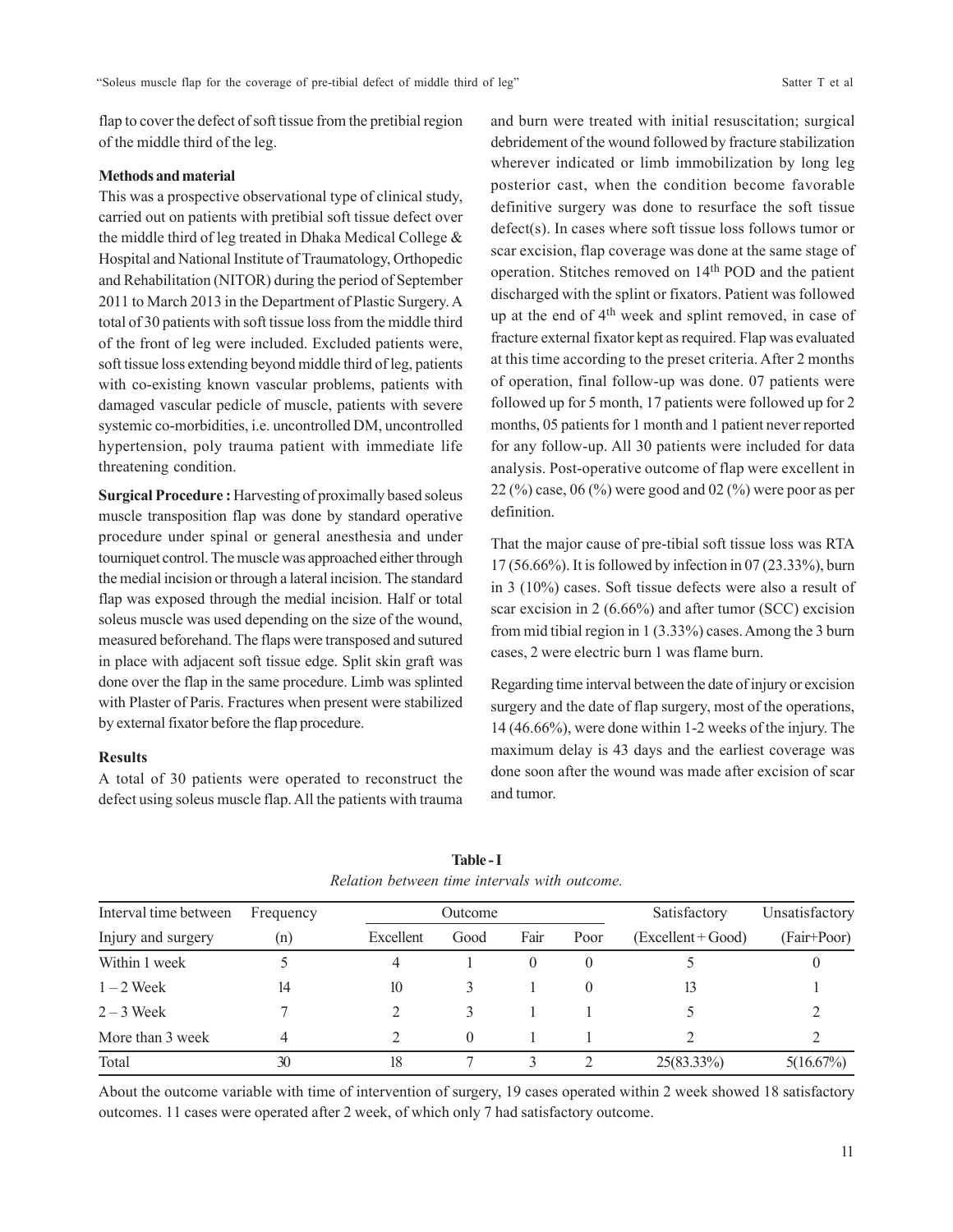flap to cover the defect of soft tissue from the pretibial region of the middle third of the leg.

#### **Methods and material**

This was a prospective observational type of clinical study, carried out on patients with pretibial soft tissue defect over the middle third of leg treated in Dhaka Medical College & Hospital and National Institute of Traumatology, Orthopedic and Rehabilitation (NITOR) during the period of September 2011 to March 2013 in the Department of Plastic Surgery. A total of 30 patients with soft tissue loss from the middle third of the front of leg were included. Excluded patients were, soft tissue loss extending beyond middle third of leg, patients with co-existing known vascular problems, patients with damaged vascular pedicle of muscle, patients with severe systemic co-morbidities, i.e. uncontrolled DM, uncontrolled hypertension, poly trauma patient with immediate life threatening condition.

**Surgical Procedure :** Harvesting of proximally based soleus muscle transposition flap was done by standard operative procedure under spinal or general anesthesia and under tourniquet control. The muscle was approached either through the medial incision or through a lateral incision. The standard flap was exposed through the medial incision. Half or total soleus muscle was used depending on the size of the wound, measured beforehand. The flaps were transposed and sutured in place with adjacent soft tissue edge. Split skin graft was done over the flap in the same procedure. Limb was splinted with Plaster of Paris. Fractures when present were stabilized by external fixator before the flap procedure.

## **Results**

A total of 30 patients were operated to reconstruct the defect using soleus muscle flap. All the patients with trauma and burn were treated with initial resuscitation; surgical debridement of the wound followed by fracture stabilization wherever indicated or limb immobilization by long leg posterior cast, when the condition become favorable definitive surgery was done to resurface the soft tissue defect(s). In cases where soft tissue loss follows tumor or scar excision, flap coverage was done at the same stage of operation. Stitches removed on 14th POD and the patient discharged with the splint or fixators. Patient was followed up at the end of 4<sup>th</sup> week and splint removed, in case of fracture external fixator kept as required. Flap was evaluated at this time according to the preset criteria. After 2 months of operation, final follow-up was done. 07 patients were followed up for 5 month, 17 patients were followed up for 2 months, 05 patients for 1 month and 1 patient never reported for any follow-up. All 30 patients were included for data analysis. Post-operative outcome of flap were excellent in 22 (%) case,  $06$  (%) were good and  $02$  (%) were poor as per definition.

That the major cause of pre-tibial soft tissue loss was RTA 17 (56.66%). It is followed by infection in 07 (23.33%), burn in 3 (10%) cases. Soft tissue defects were also a result of scar excision in 2 (6.66%) and after tumor (SCC) excision from mid tibial region in 1 (3.33%) cases. Among the 3 burn cases, 2 were electric burn 1 was flame burn.

Regarding time interval between the date of injury or excision surgery and the date of flap surgery, most of the operations, 14 (46.66%), were done within 1-2 weeks of the injury. The maximum delay is 43 days and the earliest coverage was done soon after the wound was made after excision of scar and tumor.

| Interval time between | Frequency | Outcome   |      |      |          | Satisfactory         | Unsatisfactory |
|-----------------------|-----------|-----------|------|------|----------|----------------------|----------------|
| Injury and surgery    | (n)       | Excellent | Good | Fair | Poor     | $(Excellent + Good)$ | (Fair+Poor)    |
| Within 1 week         |           | 4         |      |      | $\theta$ |                      |                |
| $1 - 2$ Week          | 14        | 10        |      |      |          | 13                   |                |
| $2 - 3$ Week          |           |           |      |      |          |                      |                |
| More than 3 week      | 4         |           |      |      |          |                      |                |
| Total                 | 30        | 18        |      |      |          | $25(83.33\%)$        | 5(16.67%)      |

**Table - I** *Relation between time intervals with outcome.*

About the outcome variable with time of intervention of surgery, 19 cases operated within 2 week showed 18 satisfactory outcomes. 11 cases were operated after 2 week, of which only 7 had satisfactory outcome.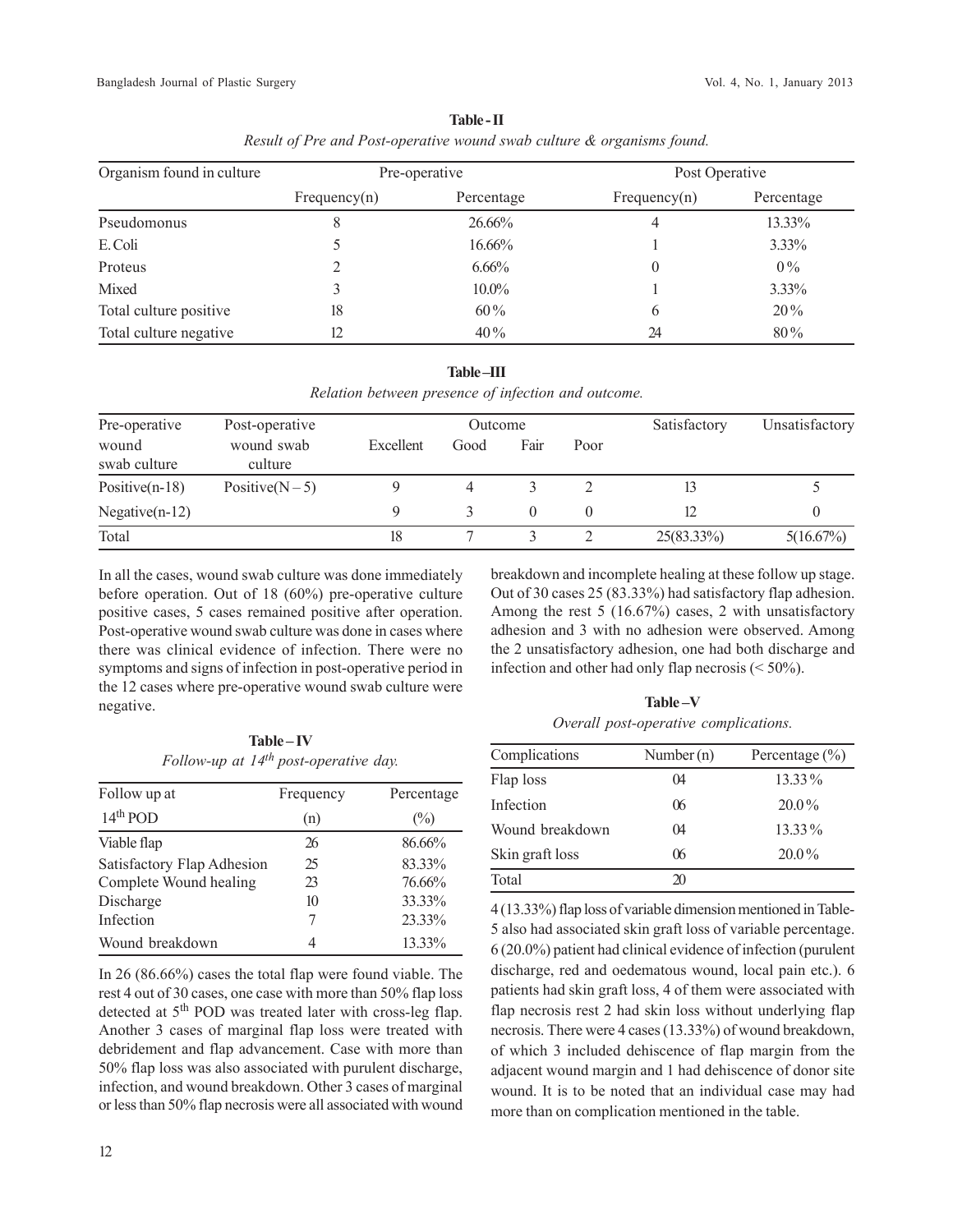| Organism found in culture |              | Pre-operative | Post Operative |            |  |
|---------------------------|--------------|---------------|----------------|------------|--|
|                           | Frequency(n) | Percentage    | Frequency(n)   | Percentage |  |
| Pseudomonus               | 8            | 26.66%        |                | 13.33%     |  |
| E. Coli                   |              | 16.66%        |                | $3.33\%$   |  |
| Proteus                   |              | $6.66\%$      | 0              | $0\%$      |  |
| Mixed                     |              | $10.0\%$      |                | 3.33%      |  |
| Total culture positive    | 18           | $60\%$        | 6              | $20\%$     |  |
| Total culture negative    | 12           | $40\%$        | 24             | $80\%$     |  |

**Table - II** *Result of Pre and Post-operative wound swab culture & organisms found.*

|  | <b>Table-III</b> |                                                     |  |
|--|------------------|-----------------------------------------------------|--|
|  |                  | Relation between presence of infection and outcome. |  |

| Pre-operative         | Post-operative        | Outcome   |      |      |          | Satisfactory  | Unsatisfactory |
|-----------------------|-----------------------|-----------|------|------|----------|---------------|----------------|
| wound<br>swab culture | wound swab<br>culture | Excellent | Good | Fair | Poor     |               |                |
| Positive $(n-18)$     | Positive $(N-5)$      |           |      |      |          |               |                |
| Negative $(n-12)$     |                       |           |      |      | $\theta$ |               |                |
| Total                 |                       | 18        |      |      |          | $25(83.33\%)$ | 5(16.67%)      |

In all the cases, wound swab culture was done immediately before operation. Out of 18 (60%) pre-operative culture positive cases, 5 cases remained positive after operation. Post-operative wound swab culture was done in cases where there was clinical evidence of infection. There were no symptoms and signs of infection in post-operative period in the 12 cases where pre-operative wound swab culture were negative.

Out of 30 cases 25 (83.33%) had satisfactory flap adhesion. Among the rest 5 (16.67%) cases, 2 with unsatisfactory adhesion and 3 with no adhesion were observed. Among the 2 unsatisfactory adhesion, one had both discharge and infection and other had only flap necrosis  $(< 50\%)$ .

breakdown and incomplete healing at these follow up stage.

**Table – IV** *Follow-up at 14th post-operative day.*

| Follow up at               | Frequency | Percentage |
|----------------------------|-----------|------------|
| $14th$ POD                 | (n)       | $(\%)$     |
| Viable flap                | 26        | 86.66%     |
| Satisfactory Flap Adhesion | 25        | 83.33%     |
| Complete Wound healing     | 23        | 76.66%     |
| Discharge                  | 10        | 33.33%     |
| Infection                  | 7         | 23.33%     |
| Wound breakdown            | 4         | 13.33%     |

In 26 (86.66%) cases the total flap were found viable. The rest 4 out of 30 cases, one case with more than 50% flap loss detected at 5<sup>th</sup> POD was treated later with cross-leg flap. Another 3 cases of marginal flap loss were treated with debridement and flap advancement. Case with more than 50% flap loss was also associated with purulent discharge, infection, and wound breakdown. Other 3 cases of marginal or less than 50% flap necrosis were all associated with wound

**Table –V** *Overall post-operative complications.*

| Complications   | Number $(n)$ | Percentage $(\% )$ |
|-----------------|--------------|--------------------|
| Flap loss       | 04           | 13.33%             |
| Infection       | 06           | $20.0\%$           |
| Wound breakdown | $\Omega$     | $13.33\%$          |
| Skin graft loss | 06           | $20.0\%$           |
| Total           | 20           |                    |

4 (13.33%) flap loss of variable dimension mentioned in Table-5 also had associated skin graft loss of variable percentage. 6 (20.0%) patient had clinical evidence of infection (purulent discharge, red and oedematous wound, local pain etc.). 6 patients had skin graft loss, 4 of them were associated with flap necrosis rest 2 had skin loss without underlying flap necrosis. There were 4 cases (13.33%) of wound breakdown, of which 3 included dehiscence of flap margin from the adjacent wound margin and 1 had dehiscence of donor site wound. It is to be noted that an individual case may had more than on complication mentioned in the table.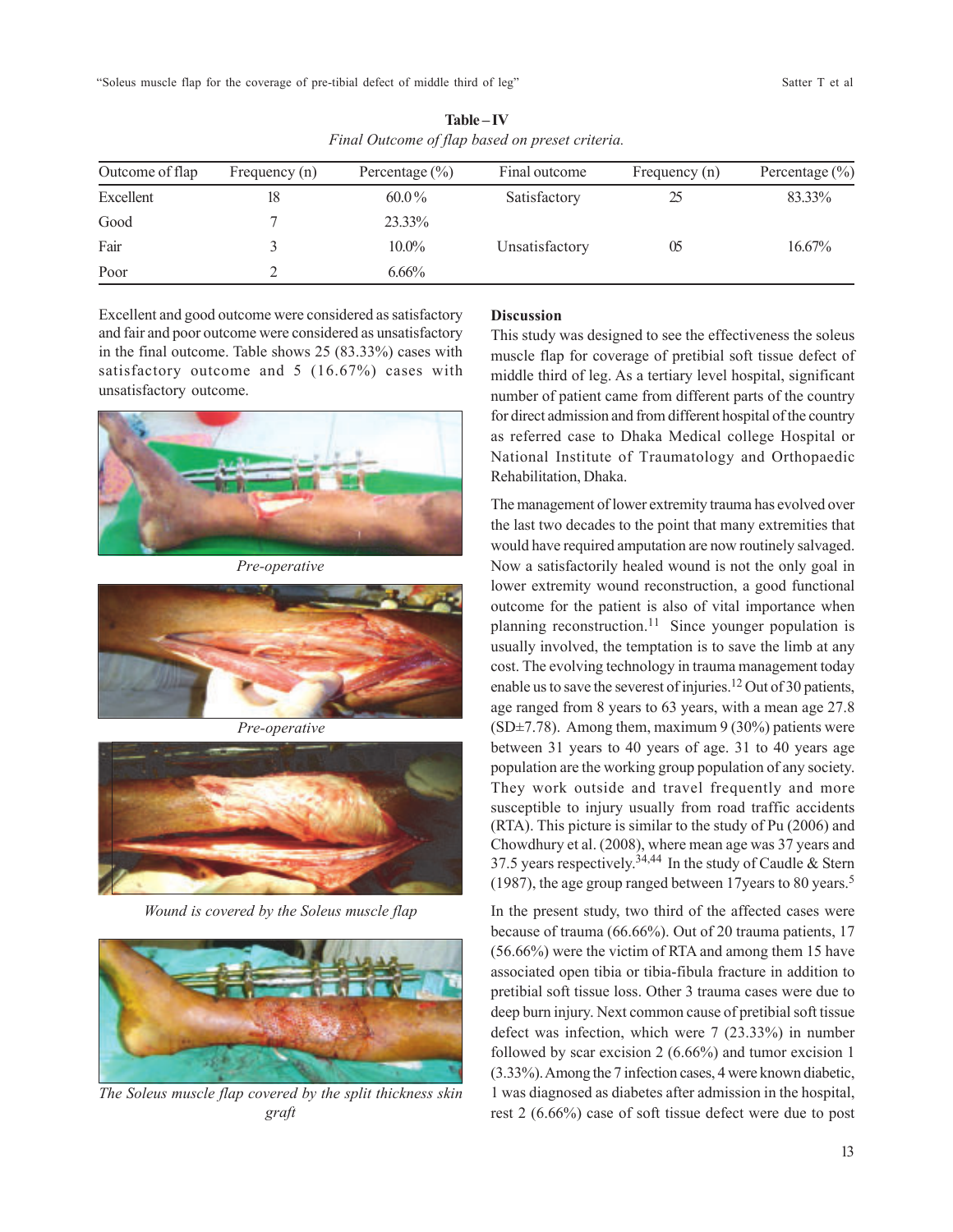"Soleus muscle flap for the coverage of pre-tibial defect of middle third of leg" Satter T et al

| Outcome of flap | Frequency (n) | Percentage $(\% )$ | Final outcome  | Frequency (n) | Percentage $(\% )$ |
|-----------------|---------------|--------------------|----------------|---------------|--------------------|
| Excellent       |               | $60.0\%$           | Satisfactory   |               | 83.33%             |
| Good            |               | 23.33%             |                |               |                    |
| Fair            |               | $10.0\%$           | Unsatisfactory | U5            | $16.67\%$          |
| Poor            |               | $6.66\%$           |                |               |                    |

**Table – IV** *Final Outcome of flap based on preset criteria.*

Excellent and good outcome were considered as satisfactory and fair and poor outcome were considered as unsatisfactory in the final outcome. Table shows 25 (83.33%) cases with satisfactory outcome and 5 (16.67%) cases with unsatisfactory outcome.



*Pre-operative*



*Pre-operative*



*Wound is covered by the Soleus muscle flap*



*The Soleus muscle flap covered by the split thickness skin graft*

# **Discussion**

This study was designed to see the effectiveness the soleus muscle flap for coverage of pretibial soft tissue defect of middle third of leg. As a tertiary level hospital, significant number of patient came from different parts of the country for direct admission and from different hospital of the country as referred case to Dhaka Medical college Hospital or National Institute of Traumatology and Orthopaedic Rehabilitation, Dhaka.

The management of lower extremity trauma has evolved over the last two decades to the point that many extremities that would have required amputation are now routinely salvaged. Now a satisfactorily healed wound is not the only goal in lower extremity wound reconstruction, a good functional outcome for the patient is also of vital importance when planning reconstruction.<sup>11</sup> Since younger population is usually involved, the temptation is to save the limb at any cost. The evolving technology in trauma management today enable us to save the severest of injuries.12 Out of 30 patients, age ranged from 8 years to 63 years, with a mean age 27.8 (SD $\pm$ 7.78). Among them, maximum 9 (30%) patients were between 31 years to 40 years of age. 31 to 40 years age population are the working group population of any society. They work outside and travel frequently and more susceptible to injury usually from road traffic accidents (RTA). This picture is similar to the study of Pu (2006) and Chowdhury et al. (2008), where mean age was 37 years and 37.5 years respectively.<sup>34,44</sup> In the study of Caudle & Stern (1987), the age group ranged between 17years to 80 years.<sup>5</sup>

In the present study, two third of the affected cases were because of trauma (66.66%). Out of 20 trauma patients, 17 (56.66%) were the victim of RTA and among them 15 have associated open tibia or tibia-fibula fracture in addition to pretibial soft tissue loss. Other 3 trauma cases were due to deep burn injury. Next common cause of pretibial soft tissue defect was infection, which were 7 (23.33%) in number followed by scar excision 2 (6.66%) and tumor excision 1 (3.33%). Among the 7 infection cases, 4 were known diabetic, 1 was diagnosed as diabetes after admission in the hospital, rest 2 (6.66%) case of soft tissue defect were due to post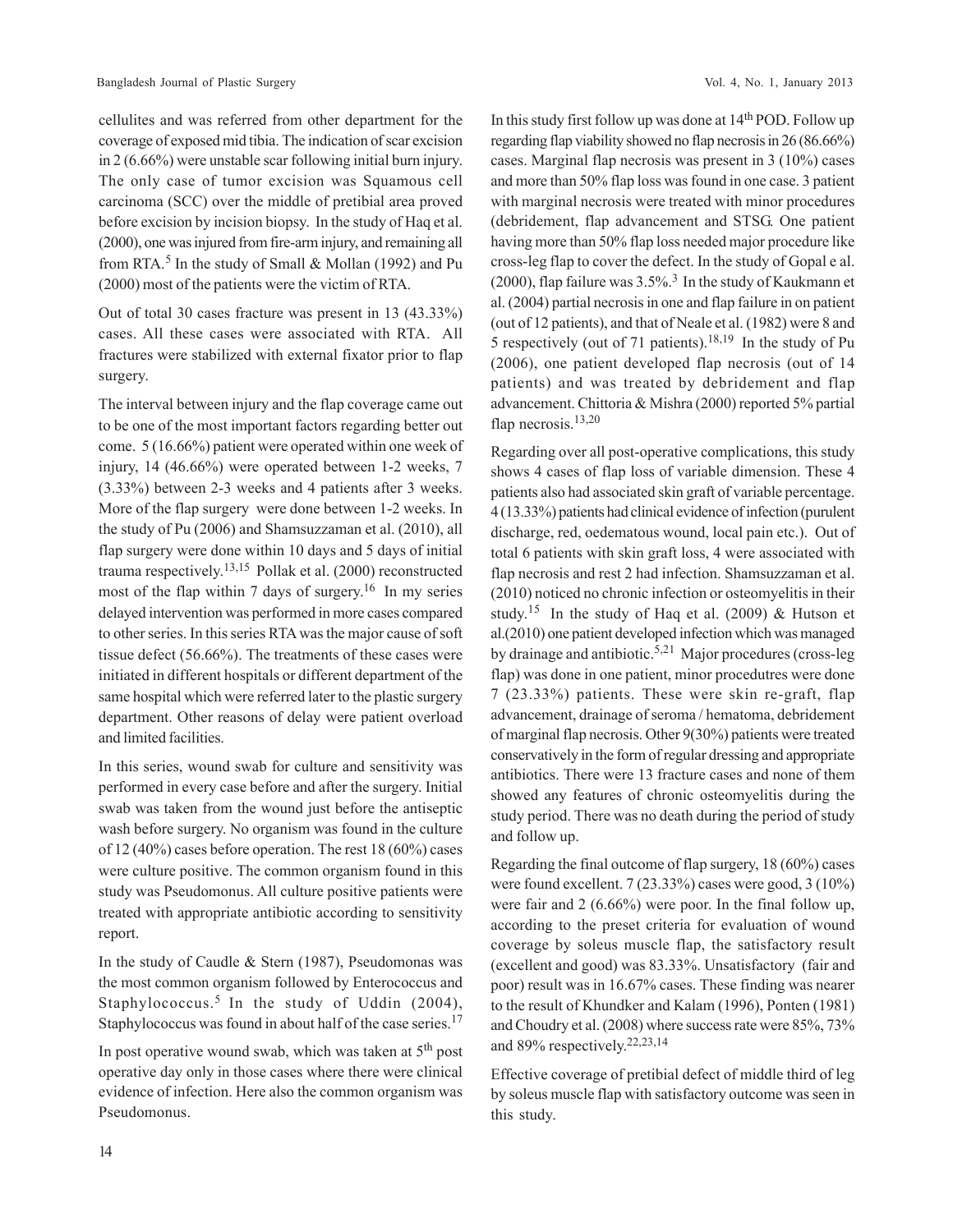cellulites and was referred from other department for the coverage of exposed mid tibia. The indication of scar excision in 2 (6.66%) were unstable scar following initial burn injury. The only case of tumor excision was Squamous cell carcinoma (SCC) over the middle of pretibial area proved before excision by incision biopsy. In the study of Haq et al. (2000), one was injured from fire-arm injury, and remaining all from RTA.<sup>5</sup> In the study of Small & Mollan (1992) and Pu (2000) most of the patients were the victim of RTA.

Out of total 30 cases fracture was present in 13 (43.33%) cases. All these cases were associated with RTA. All fractures were stabilized with external fixator prior to flap surgery.

The interval between injury and the flap coverage came out to be one of the most important factors regarding better out come. 5 (16.66%) patient were operated within one week of injury, 14 (46.66%) were operated between 1-2 weeks, 7 (3.33%) between 2-3 weeks and 4 patients after 3 weeks. More of the flap surgery were done between 1-2 weeks. In the study of Pu (2006) and Shamsuzzaman et al. (2010), all flap surgery were done within 10 days and 5 days of initial trauma respectively. 13,15 Pollak et al. (2000) reconstructed most of the flap within 7 days of surgery.<sup>16</sup> In my series delayed intervention was performed in more cases compared to other series. In this series RTA was the major cause of soft tissue defect (56.66%). The treatments of these cases were initiated in different hospitals or different department of the same hospital which were referred later to the plastic surgery department. Other reasons of delay were patient overload and limited facilities.

In this series, wound swab for culture and sensitivity was performed in every case before and after the surgery. Initial swab was taken from the wound just before the antiseptic wash before surgery. No organism was found in the culture of 12 (40%) cases before operation. The rest 18 (60%) cases were culture positive. The common organism found in this study was Pseudomonus. All culture positive patients were treated with appropriate antibiotic according to sensitivity report.

In the study of Caudle & Stern (1987), Pseudomonas was the most common organism followed by Enterococcus and Staphylococcus.<sup>5</sup> In the study of Uddin  $(2004)$ , Staphylococcus was found in about half of the case series.<sup>17</sup>

In post operative wound swab, which was taken at  $5<sup>th</sup>$  post operative day only in those cases where there were clinical evidence of infection. Here also the common organism was Pseudomonus.

In this study first follow up was done at 14<sup>th</sup> POD. Follow up regarding flap viability showed no flap necrosis in 26 (86.66%) cases. Marginal flap necrosis was present in 3 (10%) cases and more than 50% flap loss was found in one case. 3 patient with marginal necrosis were treated with minor procedures (debridement, flap advancement and STSG. One patient having more than 50% flap loss needed major procedure like cross-leg flap to cover the defect. In the study of Gopal e al. (2000), flap failure was  $3.5\%$ .<sup>3</sup> In the study of Kaukmann et al. (2004) partial necrosis in one and flap failure in on patient (out of 12 patients), and that of Neale et al. (1982) were 8 and 5 respectively (out of 71 patients).18,19 In the study of Pu (2006), one patient developed flap necrosis (out of 14 patients) and was treated by debridement and flap advancement. Chittoria & Mishra (2000) reported 5% partial flap necrosis.<sup>13,20</sup>

Regarding over all post-operative complications, this study shows 4 cases of flap loss of variable dimension. These 4 patients also had associated skin graft of variable percentage. 4 (13.33%) patients had clinical evidence of infection (purulent discharge, red, oedematous wound, local pain etc.). Out of total 6 patients with skin graft loss, 4 were associated with flap necrosis and rest 2 had infection. Shamsuzzaman et al. (2010) noticed no chronic infection or osteomyelitis in their study.<sup>15</sup> In the study of Haq et al. (2009) & Hutson et al.(2010) one patient developed infection which was managed by drainage and antibiotic.5,21 Major procedures (cross-leg flap) was done in one patient, minor procedutres were done 7 (23.33%) patients. These were skin re-graft, flap advancement, drainage of seroma / hematoma, debridement of marginal flap necrosis. Other 9(30%) patients were treated conservatively in the form of regular dressing and appropriate antibiotics. There were 13 fracture cases and none of them showed any features of chronic osteomyelitis during the study period. There was no death during the period of study and follow up.

Regarding the final outcome of flap surgery, 18 (60%) cases were found excellent. 7 (23.33%) cases were good, 3 (10%) were fair and 2 (6.66%) were poor. In the final follow up, according to the preset criteria for evaluation of wound coverage by soleus muscle flap, the satisfactory result (excellent and good) was 83.33%. Unsatisfactory (fair and poor) result was in 16.67% cases. These finding was nearer to the result of Khundker and Kalam (1996), Ponten (1981) and Choudry et al. (2008) where success rate were 85%, 73% and 89% respectively. 22,23,14

Effective coverage of pretibial defect of middle third of leg by soleus muscle flap with satisfactory outcome was seen in this study.